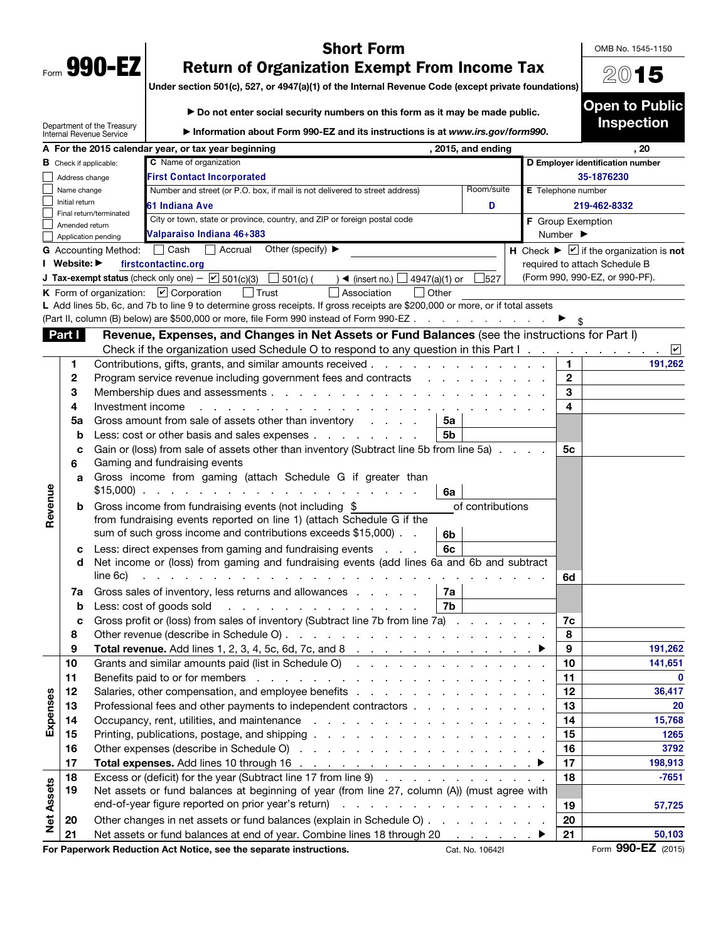| Form | 990-<br>г. |  |
|------|------------|--|

## Short Form

OMB No. 1545-1150

2015

## Return of Organization Exempt From Income Tax

Under section 501(c), 527, or 4947(a)(1) of the Internal Revenue Code (except private foundations)

|                   |                               |                                                               | Do not enter social security numbers on this form as it may be made public.                                                                                                                                                    |                              | <b>Open to Public</b>                                            |
|-------------------|-------------------------------|---------------------------------------------------------------|--------------------------------------------------------------------------------------------------------------------------------------------------------------------------------------------------------------------------------|------------------------------|------------------------------------------------------------------|
|                   |                               | Department of the Treasury<br><b>Internal Revenue Service</b> | Information about Form 990-EZ and its instructions is at www.irs.gov/form990.                                                                                                                                                  |                              | <b>Inspection</b>                                                |
|                   |                               |                                                               | A For the 2015 calendar year, or tax year beginning<br>, 2015, and ending                                                                                                                                                      |                              | , 20                                                             |
|                   | <b>B</b> Check if applicable: |                                                               | C Name of organization                                                                                                                                                                                                         |                              | D Employer identification number                                 |
|                   | Address change                |                                                               | <b>First Contact Incorporated</b>                                                                                                                                                                                              |                              | 35-1876230                                                       |
|                   | Name change                   |                                                               | Room/suite<br>Number and street (or P.O. box, if mail is not delivered to street address)                                                                                                                                      |                              | E Telephone number                                               |
|                   | Initial return                | Final return/terminated                                       | 61 Indiana Ave<br>D                                                                                                                                                                                                            |                              | 219-462-8332                                                     |
|                   | Amended return                |                                                               | City or town, state or province, country, and ZIP or foreign postal code                                                                                                                                                       |                              | F Group Exemption                                                |
|                   | Application pending           |                                                               | Valparaiso Indiana 46+383                                                                                                                                                                                                      | Number $\blacktriangleright$ |                                                                  |
|                   |                               | G Accounting Method: Cash                                     | $\Box$ Accrual<br>Other (specify) $\blacktriangleright$                                                                                                                                                                        |                              | H Check $\blacktriangleright \square$ if the organization is not |
|                   | I Website: ▶                  |                                                               | firstcontactinc.org                                                                                                                                                                                                            |                              | required to attach Schedule B                                    |
|                   |                               |                                                               | <b>J Tax-exempt status</b> (check only one) $ \boxed{\checkmark}$ 501(c)(3)<br>$\Box$ 501(c) (<br>$) \blacktriangleleft$ (insert no.) $\Box$<br>527<br>4947(a)(1) or                                                           |                              | (Form 990, 990-EZ, or 990-PF).                                   |
|                   |                               |                                                               | $\Box$ Trust<br>$\Box$ Other<br>K Form of organization: $\boxed{\mathbf{v}}$ Corporation<br>Association                                                                                                                        |                              |                                                                  |
|                   |                               |                                                               | L Add lines 5b, 6c, and 7b to line 9 to determine gross receipts. If gross receipts are \$200,000 or more, or if total assets                                                                                                  |                              |                                                                  |
|                   |                               |                                                               | (Part II, column (B) below) are \$500,000 or more, file Form 990 instead of Form 990-EZ                                                                                                                                        |                              |                                                                  |
|                   | Part I                        |                                                               | Revenue, Expenses, and Changes in Net Assets or Fund Balances (see the instructions for Part I)                                                                                                                                |                              |                                                                  |
|                   |                               |                                                               | Check if the organization used Schedule O to respond to any question in this Part I.                                                                                                                                           |                              | $ \mathbf{v} $                                                   |
|                   | 1                             |                                                               | Contributions, gifts, grants, and similar amounts received                                                                                                                                                                     |                              | 1.<br>191,262                                                    |
|                   | 2                             |                                                               | Program service revenue including government fees and contracts                                                                                                                                                                |                              | $\mathbf{2}$                                                     |
|                   | 3                             |                                                               |                                                                                                                                                                                                                                |                              | 3                                                                |
|                   | 4                             | Investment income                                             | $\sim$ $\sim$ $\sim$<br><b>Contract Contract</b>                                                                                                                                                                               |                              | 4                                                                |
|                   | 5a                            |                                                               | Gross amount from sale of assets other than inventory<br>5a                                                                                                                                                                    |                              |                                                                  |
|                   | b                             |                                                               | Less: cost or other basis and sales expenses<br>5b                                                                                                                                                                             |                              |                                                                  |
|                   | с                             |                                                               | Gain or (loss) from sale of assets other than inventory (Subtract line 5b from line 5a)                                                                                                                                        |                              | 5с                                                               |
|                   | 6                             |                                                               | Gaming and fundraising events                                                                                                                                                                                                  |                              |                                                                  |
|                   | a                             |                                                               | Gross income from gaming (attach Schedule G if greater than<br>$$15,000$<br>6a                                                                                                                                                 |                              |                                                                  |
| Revenue           | b                             |                                                               | of contributions<br>Gross income from fundraising events (not including \$                                                                                                                                                     |                              |                                                                  |
|                   |                               |                                                               | from fundraising events reported on line 1) (attach Schedule G if the                                                                                                                                                          |                              |                                                                  |
|                   |                               |                                                               | sum of such gross income and contributions exceeds \$15,000).<br>6b                                                                                                                                                            |                              |                                                                  |
|                   | С                             |                                                               | 6c<br>Less: direct expenses from gaming and fundraising events                                                                                                                                                                 |                              |                                                                  |
|                   | d                             |                                                               | Net income or (loss) from gaming and fundraising events (add lines 6a and 6b and subtract                                                                                                                                      |                              |                                                                  |
|                   |                               | line 6c)                                                      | and the contract of the contract of the contract of the contract of the contract of the contract of the contract of the contract of the contract of the contract of the contract of the contract of the contract of the contra |                              | 6d                                                               |
|                   | 7a                            |                                                               | Gross sales of inventory, less returns and allowances<br>7a                                                                                                                                                                    |                              |                                                                  |
|                   | b                             |                                                               | 7b<br>Less: cost of goods sold<br>and a straight and a straight                                                                                                                                                                |                              |                                                                  |
|                   |                               |                                                               | Gross profit or (loss) from sales of inventory (Subtract line 7b from line 7a)                                                                                                                                                 |                              | 7c                                                               |
|                   | 8                             |                                                               |                                                                                                                                                                                                                                |                              | 8                                                                |
|                   | 9                             |                                                               | Total revenue. Add lines 1, 2, 3, 4, 5c, 6d, 7c, and 8 $\ldots$ $\ldots$ $\ldots$ $\ldots$ $\ldots$ $\ldots$                                                                                                                   |                              | 9<br>191,262                                                     |
|                   | 10                            |                                                               | Grants and similar amounts paid (list in Schedule O)                                                                                                                                                                           |                              | 10<br>141,651<br>11<br>$\mathbf{0}$                              |
|                   | 11                            |                                                               |                                                                                                                                                                                                                                |                              | 12<br>36,417                                                     |
|                   | 12<br>13                      |                                                               | Professional fees and other payments to independent contractors                                                                                                                                                                |                              | 13<br>20                                                         |
| Expenses          | 14                            |                                                               |                                                                                                                                                                                                                                |                              | 14<br>15,768                                                     |
|                   | 15                            |                                                               |                                                                                                                                                                                                                                |                              | 15<br>1265                                                       |
|                   | 16                            |                                                               |                                                                                                                                                                                                                                |                              | 16<br>3792                                                       |
|                   | 17                            |                                                               |                                                                                                                                                                                                                                |                              | 17<br>198,913                                                    |
|                   | 18                            |                                                               | Excess or (deficit) for the year (Subtract line 17 from line 9)                                                                                                                                                                |                              | 18<br>$-7651$                                                    |
|                   | 19                            |                                                               | Net assets or fund balances at beginning of year (from line 27, column (A)) (must agree with                                                                                                                                   |                              |                                                                  |
|                   |                               |                                                               |                                                                                                                                                                                                                                | 19<br>57,725                 |                                                                  |
| <b>Net Assets</b> | 20                            |                                                               | Other changes in net assets or fund balances (explain in Schedule O)                                                                                                                                                           |                              | 20                                                               |
|                   | 21                            |                                                               | Net assets or fund balances at end of year. Combine lines 18 through 20<br>in a series a ≯                                                                                                                                     |                              | 21<br>50,103                                                     |
|                   |                               |                                                               |                                                                                                                                                                                                                                |                              |                                                                  |

For Paperwork Reduction Act Notice, see the separate instructions. Cat. No. 10642I Form 990-EZ (2015)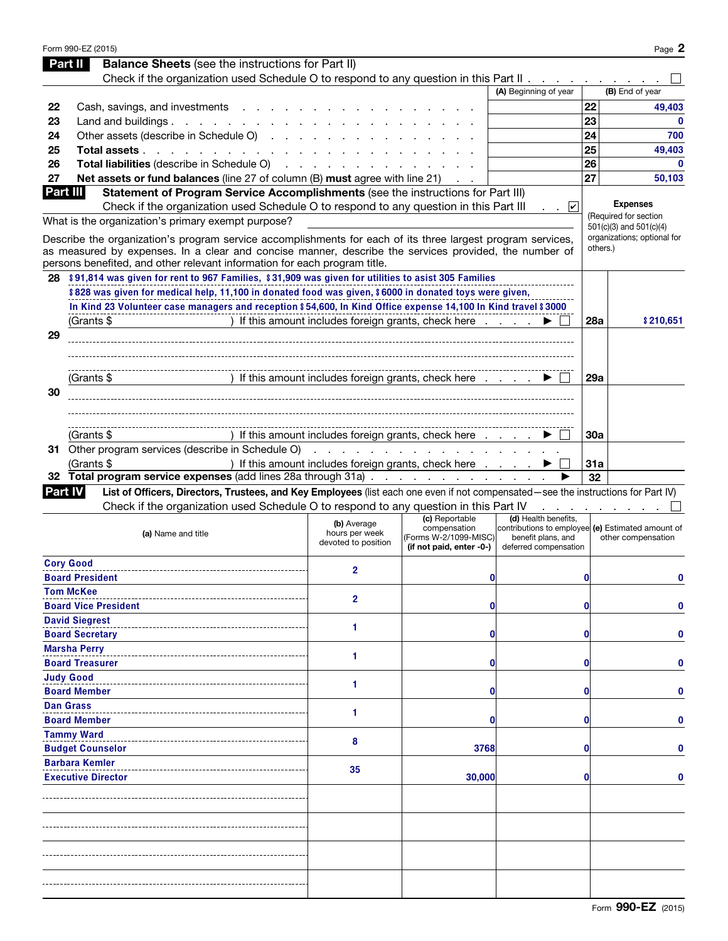|                | Form 990-EZ (2015)                                                                                                                |                                       |                                                                                     |                                                                           |            | Page 2                                                 |
|----------------|-----------------------------------------------------------------------------------------------------------------------------------|---------------------------------------|-------------------------------------------------------------------------------------|---------------------------------------------------------------------------|------------|--------------------------------------------------------|
| Part II        | <b>Balance Sheets</b> (see the instructions for Part II)                                                                          |                                       |                                                                                     |                                                                           |            |                                                        |
|                | Check if the organization used Schedule O to respond to any question in this Part II                                              |                                       |                                                                                     |                                                                           |            |                                                        |
|                |                                                                                                                                   |                                       |                                                                                     | (A) Beginning of year                                                     |            | (B) End of year                                        |
| 22             | Cash, savings, and investments                                                                                                    |                                       |                                                                                     |                                                                           | 22         | 49,403                                                 |
| 23             | Land and buildings. $\ldots$ $\ldots$ $\ldots$ $\ldots$ $\ldots$                                                                  |                                       |                                                                                     |                                                                           | 23         | $\mathbf{0}$                                           |
| 24             | Other assets (describe in Schedule O)                                                                                             |                                       |                                                                                     |                                                                           | 24         | 700                                                    |
| 25             | Total assets                                                                                                                      |                                       |                                                                                     |                                                                           | 25         | 49,403                                                 |
| 26             | Total liabilities (describe in Schedule O)                                                                                        |                                       |                                                                                     |                                                                           | 26         | $\mathbf{0}$                                           |
| 27             | Net assets or fund balances (line 27 of column (B) must agree with line 21)                                                       |                                       |                                                                                     |                                                                           | 27         | 50,103                                                 |
| Part III       | Statement of Program Service Accomplishments (see the instructions for Part III)                                                  |                                       |                                                                                     |                                                                           |            |                                                        |
|                | Check if the organization used Schedule O to respond to any question in this Part III                                             |                                       |                                                                                     | $\cdot$ $\cdot$ $\sqrt{2}$                                                |            | <b>Expenses</b>                                        |
|                | What is the organization's primary exempt purpose?                                                                                |                                       |                                                                                     |                                                                           |            | (Required for section                                  |
|                | Describe the organization's program service accomplishments for each of its three largest program services,                       |                                       |                                                                                     |                                                                           |            | 501(c)(3) and 501(c)(4)<br>organizations; optional for |
|                | as measured by expenses. In a clear and concise manner, describe the services provided, the number of                             |                                       |                                                                                     |                                                                           |            | others.)                                               |
|                | persons benefited, and other relevant information for each program title.                                                         |                                       |                                                                                     |                                                                           |            |                                                        |
|                | 28 \$91,814 was given for rent to 967 Families, \$31,909 was given for utilities to asist 305 Families                            |                                       |                                                                                     |                                                                           |            |                                                        |
|                | \$828 was given for medical help, 11,100 in donated food was given, \$6000 in donated toys were given,                            |                                       |                                                                                     |                                                                           |            |                                                        |
|                | In Kind 23 Volunteer case managers and reception \$54,600, In Kind Office expense 14,100 In Kind travel \$3000                    |                                       |                                                                                     |                                                                           |            |                                                        |
|                | (Grants \$                                                                                                                        |                                       | ) If this amount includes foreign grants, check here                                |                                                                           | <b>28a</b> | \$210,651                                              |
| 29             |                                                                                                                                   |                                       |                                                                                     |                                                                           |            |                                                        |
|                |                                                                                                                                   |                                       |                                                                                     |                                                                           |            |                                                        |
|                |                                                                                                                                   |                                       |                                                                                     |                                                                           |            |                                                        |
|                | (Grants \$                                                                                                                        |                                       | ) If this amount includes foreign grants, check here $\ldots$ $\blacktriangleright$ |                                                                           | <b>29a</b> |                                                        |
| 30             |                                                                                                                                   |                                       |                                                                                     |                                                                           |            |                                                        |
|                |                                                                                                                                   |                                       |                                                                                     |                                                                           |            |                                                        |
|                |                                                                                                                                   |                                       |                                                                                     |                                                                           |            |                                                        |
|                | (Grants \$                                                                                                                        |                                       | ) If this amount includes foreign grants, check here                                |                                                                           | 30a        |                                                        |
|                | 31 Other program services (describe in Schedule O)                                                                                |                                       |                                                                                     |                                                                           |            |                                                        |
|                | (Grants \$                                                                                                                        |                                       | ) If this amount includes foreign grants, check here                                |                                                                           | <b>31a</b> |                                                        |
|                | 32 Total program service expenses (add lines 28a through 31a)                                                                     |                                       |                                                                                     |                                                                           | 32         |                                                        |
| <b>Part IV</b> | List of Officers, Directors, Trustees, and Key Employees (list each one even if not compensated-see the instructions for Part IV) |                                       |                                                                                     |                                                                           |            |                                                        |
|                | Check if the organization used Schedule O to respond to any question in this Part IV                                              |                                       |                                                                                     | and a state of the state                                                  |            |                                                        |
|                |                                                                                                                                   | (b) Average                           | (c) Reportable<br>compensation                                                      | (d) Health benefits,<br>contributions to employee (e) Estimated amount of |            |                                                        |
|                | (a) Name and title                                                                                                                | hours per week<br>devoted to position | (Forms W-2/1099-MISC)                                                               | benefit plans, and                                                        |            | other compensation                                     |
|                |                                                                                                                                   |                                       | (if not paid, enter -0-)                                                            | deferred compensation                                                     |            |                                                        |
|                | <b>Cory Good</b>                                                                                                                  | 2                                     |                                                                                     |                                                                           |            |                                                        |
|                | <b>Board President</b>                                                                                                            |                                       | $\bf{0}$                                                                            |                                                                           | 0          | 0                                                      |
|                | <b>Tom McKee</b>                                                                                                                  | 2                                     |                                                                                     |                                                                           |            |                                                        |
|                | <b>Board Vice President</b>                                                                                                       |                                       | 0                                                                                   |                                                                           | 0          | 0                                                      |
|                | <b>David Siegrest</b>                                                                                                             | 1                                     |                                                                                     |                                                                           |            |                                                        |
|                | <b>Board Secretary</b>                                                                                                            |                                       | 0                                                                                   |                                                                           | 0          | 0                                                      |
|                | <b>Marsha Perry</b>                                                                                                               | 1                                     |                                                                                     |                                                                           |            |                                                        |
|                | <b>Board Treasurer</b>                                                                                                            |                                       | 0                                                                                   |                                                                           | 0          | 0                                                      |
|                | <b>Judy Good</b>                                                                                                                  | 1                                     |                                                                                     |                                                                           |            |                                                        |
|                | <b>Board Member</b>                                                                                                               |                                       | 0                                                                                   |                                                                           | 0          | 0                                                      |
|                | <b>Dan Grass</b>                                                                                                                  | 1                                     |                                                                                     |                                                                           |            |                                                        |
|                | <b>Board Member</b>                                                                                                               |                                       | 0                                                                                   |                                                                           | 0          | 0                                                      |
|                | <b>Tammy Ward</b>                                                                                                                 | 8                                     |                                                                                     |                                                                           |            |                                                        |
|                | <b>Budget Counselor</b>                                                                                                           |                                       | 3768                                                                                |                                                                           | 0          | 0                                                      |
|                | <b>Barbara Kemler</b>                                                                                                             | 35                                    |                                                                                     |                                                                           |            |                                                        |
|                | <b>Executive Director</b>                                                                                                         |                                       | 30,000                                                                              |                                                                           | 0          | 0                                                      |
|                |                                                                                                                                   |                                       |                                                                                     |                                                                           |            |                                                        |
|                |                                                                                                                                   |                                       |                                                                                     |                                                                           |            |                                                        |
|                |                                                                                                                                   |                                       |                                                                                     |                                                                           |            |                                                        |
|                |                                                                                                                                   |                                       |                                                                                     |                                                                           |            |                                                        |
|                |                                                                                                                                   |                                       |                                                                                     |                                                                           |            |                                                        |
|                |                                                                                                                                   |                                       |                                                                                     |                                                                           |            |                                                        |
|                |                                                                                                                                   |                                       |                                                                                     |                                                                           |            |                                                        |
|                |                                                                                                                                   |                                       |                                                                                     |                                                                           |            |                                                        |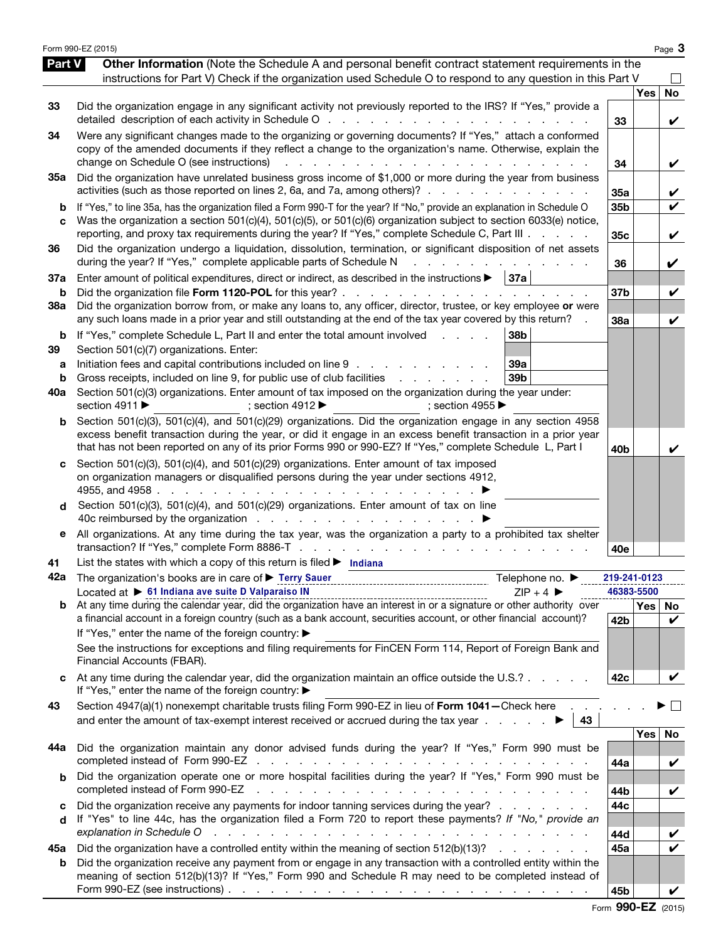|          | Form 990-EZ (2015)                                                                                                                                                                                                                                                                                                                                                                                                                                                                                 |                        |                  | Page 3             |
|----------|----------------------------------------------------------------------------------------------------------------------------------------------------------------------------------------------------------------------------------------------------------------------------------------------------------------------------------------------------------------------------------------------------------------------------------------------------------------------------------------------------|------------------------|------------------|--------------------|
| Part V   | Other Information (Note the Schedule A and personal benefit contract statement requirements in the<br>instructions for Part V) Check if the organization used Schedule O to respond to any question in this Part V                                                                                                                                                                                                                                                                                 |                        |                  |                    |
|          |                                                                                                                                                                                                                                                                                                                                                                                                                                                                                                    |                        | <b>Yes</b>       | <b>No</b>          |
| 33       | Did the organization engage in any significant activity not previously reported to the IRS? If "Yes," provide a<br>detailed description of each activity in Schedule O<br>and the state of the state of the                                                                                                                                                                                                                                                                                        | 33                     |                  | V                  |
| 34       | Were any significant changes made to the organizing or governing documents? If "Yes," attach a conformed<br>copy of the amended documents if they reflect a change to the organization's name. Otherwise, explain the<br>change on Schedule O (see instructions)<br>and the contract of the contract of the contract of the contract of the contract of the contract of the contract of the contract of the contract of the contract of the contract of the contract of the contract of the contra | 34                     |                  | V                  |
| 35а      | Did the organization have unrelated business gross income of \$1,000 or more during the year from business<br>activities (such as those reported on lines 2, 6a, and 7a, among others)?                                                                                                                                                                                                                                                                                                            | 35a                    |                  | V                  |
| b        | If "Yes," to line 35a, has the organization filed a Form 990-T for the year? If "No," provide an explanation in Schedule O                                                                                                                                                                                                                                                                                                                                                                         | 35b                    |                  | V                  |
| C        | Was the organization a section 501(c)(4), 501(c)(5), or 501(c)(6) organization subject to section 6033(e) notice,<br>reporting, and proxy tax requirements during the year? If "Yes," complete Schedule C, Part III                                                                                                                                                                                                                                                                                | 35c                    |                  | V                  |
| 36       | Did the organization undergo a liquidation, dissolution, termination, or significant disposition of net assets<br>during the year? If "Yes," complete applicable parts of Schedule N<br>and the state of the state of                                                                                                                                                                                                                                                                              | 36                     |                  | V                  |
| 37a      | Enter amount of political expenditures, direct or indirect, as described in the instructions $\blacktriangleright$   37a                                                                                                                                                                                                                                                                                                                                                                           |                        |                  |                    |
| b<br>38a | Did the organization file Form 1120-POL for this year?<br>Did the organization borrow from, or make any loans to, any officer, director, trustee, or key employee or were<br>any such loans made in a prior year and still outstanding at the end of the tax year covered by this return?                                                                                                                                                                                                          | 37 <sub>b</sub><br>38a |                  | V<br>V             |
| b        | 38b<br>If "Yes," complete Schedule L, Part II and enter the total amount involved<br>and a state of                                                                                                                                                                                                                                                                                                                                                                                                |                        |                  |                    |
| 39       | Section 501(c)(7) organizations. Enter:                                                                                                                                                                                                                                                                                                                                                                                                                                                            |                        |                  |                    |
| а        | Initiation fees and capital contributions included on line 9<br>39a                                                                                                                                                                                                                                                                                                                                                                                                                                |                        |                  |                    |
| b        | 39 <sub>b</sub><br>Gross receipts, included on line 9, for public use of club facilities                                                                                                                                                                                                                                                                                                                                                                                                           |                        |                  |                    |
| 40a      | Section 501(c)(3) organizations. Enter amount of tax imposed on the organization during the year under:<br>section 4911 ▶<br>; section 4912 $\blacktriangleright$<br>; section 4955                                                                                                                                                                                                                                                                                                                |                        |                  |                    |
| b        | Section 501(c)(3), 501(c)(4), and 501(c)(29) organizations. Did the organization engage in any section 4958                                                                                                                                                                                                                                                                                                                                                                                        |                        |                  |                    |
|          | excess benefit transaction during the year, or did it engage in an excess benefit transaction in a prior year<br>that has not been reported on any of its prior Forms 990 or 990-EZ? If "Yes," complete Schedule L, Part I                                                                                                                                                                                                                                                                         | 40 <sub>b</sub>        |                  | V                  |
| c        | Section 501(c)(3), 501(c)(4), and 501(c)(29) organizations. Enter amount of tax imposed<br>on organization managers or disqualified persons during the year under sections 4912,                                                                                                                                                                                                                                                                                                                   |                        |                  |                    |
| d        | Section 501(c)(3), 501(c)(4), and 501(c)(29) organizations. Enter amount of tax on line                                                                                                                                                                                                                                                                                                                                                                                                            |                        |                  |                    |
| е        | All organizations. At any time during the tax year, was the organization a party to a prohibited tax shelter                                                                                                                                                                                                                                                                                                                                                                                       | 40e                    |                  |                    |
| 41       | List the states with which a copy of this return is filed $\blacktriangleright$ Indiana                                                                                                                                                                                                                                                                                                                                                                                                            |                        |                  |                    |
| 42a      | The organization's books are in care of > Terry Sauer<br>Telephone no. <i>▶</i>                                                                                                                                                                                                                                                                                                                                                                                                                    | 219-241-0123           |                  |                    |
|          | Located at ▶ 61 Indiana ave suite D Valparaiso IN<br>$ZIP + 4$                                                                                                                                                                                                                                                                                                                                                                                                                                     | 46383-5500             |                  |                    |
|          | Located at $\triangleright$ 0.1 multima ave surre D variation in the contract of the calendar year, did the organization have an interest in or a signature or other authority over b. At any time during the calendar year, did the or<br>a financial account in a foreign country (such as a bank account, securities account, or other financial account)?<br>If "Yes," enter the name of the foreign country: ▶                                                                                | 42b                    | Yes <sub>1</sub> | No.<br>V           |
|          | See the instructions for exceptions and filing requirements for FinCEN Form 114, Report of Foreign Bank and<br>Financial Accounts (FBAR).                                                                                                                                                                                                                                                                                                                                                          |                        |                  |                    |
| c        | At any time during the calendar year, did the organization maintain an office outside the U.S.?<br>If "Yes," enter the name of the foreign country: ▶                                                                                                                                                                                                                                                                                                                                              | 42c                    |                  | V                  |
| 43       | Section 4947(a)(1) nonexempt charitable trusts filing Form 990-EZ in lieu of Form 1041-Check here<br>and enter the amount of tax-exempt interest received or accrued during the tax year $\ldots$ $\ldots$<br>43                                                                                                                                                                                                                                                                                   |                        |                  |                    |
|          |                                                                                                                                                                                                                                                                                                                                                                                                                                                                                                    |                        | Yes              | No                 |
| 44a      | Did the organization maintain any donor advised funds during the year? If "Yes," Form 990 must be                                                                                                                                                                                                                                                                                                                                                                                                  | 44a                    |                  | V                  |
| b        | Did the organization operate one or more hospital facilities during the year? If "Yes," Form 990 must be<br>completed instead of Form 990-EZ<br>and the contract of the contract of the contract of the contract of the contract of                                                                                                                                                                                                                                                                | 44b                    |                  | V                  |
| c        | Did the organization receive any payments for indoor tanning services during the year?                                                                                                                                                                                                                                                                                                                                                                                                             | 44c                    |                  |                    |
| d        | If "Yes" to line 44c, has the organization filed a Form 720 to report these payments? If "No," provide an                                                                                                                                                                                                                                                                                                                                                                                          |                        |                  |                    |
|          | explanation in Schedule O<br>de la capital de la capital de la capital de la capital de la capital de la capital de                                                                                                                                                                                                                                                                                                                                                                                | 44d                    |                  | V                  |
| 45а      | Did the organization have a controlled entity within the meaning of section 512(b)(13)?                                                                                                                                                                                                                                                                                                                                                                                                            | 45a                    |                  | $\boldsymbol{\nu}$ |
| b        | Did the organization receive any payment from or engage in any transaction with a controlled entity within the<br>meaning of section 512(b)(13)? If "Yes," Form 990 and Schedule R may need to be completed instead of                                                                                                                                                                                                                                                                             | 45b                    |                  | V                  |
|          |                                                                                                                                                                                                                                                                                                                                                                                                                                                                                                    |                        |                  |                    |

|  | Form 990-EZ (2015) |  |
|--|--------------------|--|
|--|--------------------|--|